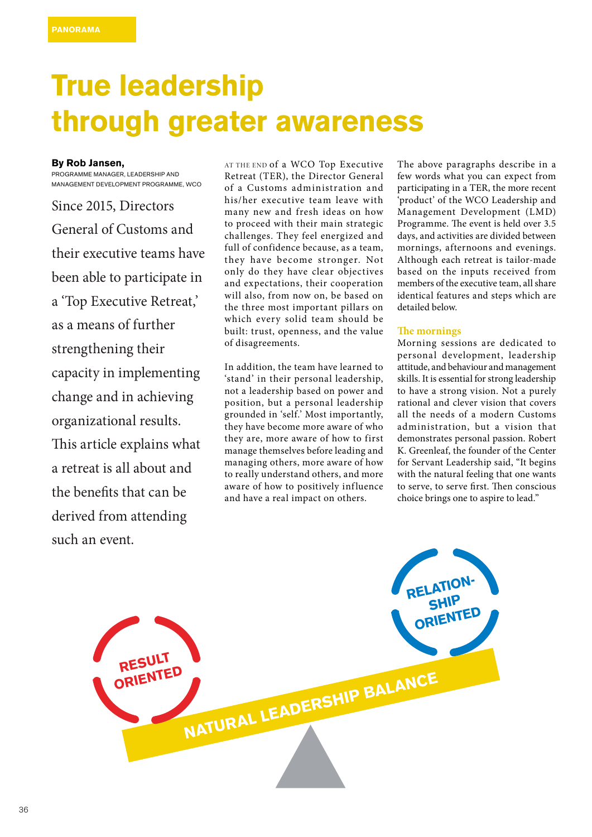# **True leadership through greater awareness**

#### **By Rob Jansen,**

PROGRAMME MANAGER, LEADERSHIP AND MANAGEMENT DEVELOPMENT PROGRAMME, WCO

Since 2015, Directors General of Customs and their executive teams have been able to participate in a 'Top Executive Retreat,' as a means of further strengthening their capacity in implementing change and in achieving organizational results. This article explains what a retreat is all about and the benefits that can be derived from attending such an event.

> RESULT ORIENTED

AT THE END of a WCO Top Executive Retreat (TER), the Director General of a Customs administration and his/her executive team leave with many new and fresh ideas on how to proceed with their main strategic challenges. They feel energized and full of confidence because, as a team, they have become stronger. Not only do they have clear objectives and expectations, their cooperation will also, from now on, be based on the three most important pillars on which every solid team should be built: trust, openness, and the value of disagreements.

In addition, the team have learned to 'stand' in their personal leadership, not a leadership based on power and position, but a personal leadership grounded in 'self.' Most importantly, they have become more aware of who they are, more aware of how to first manage themselves before leading and managing others, more aware of how to really understand others, and more aware of how to positively influence and have a real impact on others.

NATURAL LEADERSHIP BALANCE

The above paragraphs describe in a few words what you can expect from participating in a TER, the more recent 'product' of the WCO Leadership and Management Development (LMD) Programme. The event is held over 3.5 days, and activities are divided between mornings, afternoons and evenings. Although each retreat is tailor-made based on the inputs received from members of the executive team, all share identical features and steps which are detailed below.

#### **The mornings**

RELATION-**SHIP** ORIENTED

Morning sessions are dedicated to personal development, leadership attitude, and behaviour and management skills. It is essential for strong leadership to have a strong vision. Not a purely rational and clever vision that covers all the needs of a modern Customs administration, but a vision that demonstrates personal passion. Robert K. Greenleaf, the founder of the Center for Servant Leadership said, "It begins with the natural feeling that one wants to serve, to serve first. Then conscious choice brings one to aspire to lead."



36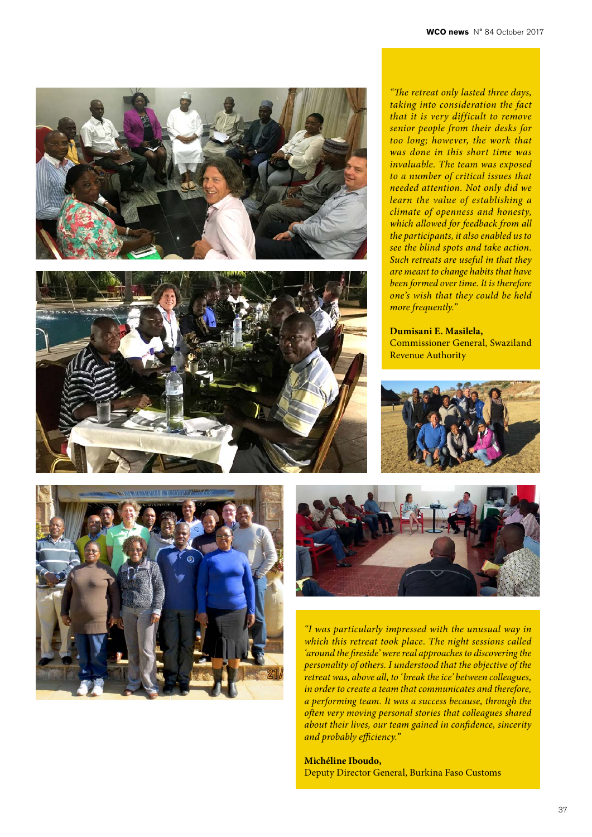



*"The retreat only lasted three days, taking into consideration the fact that it is very difficult to remove senior people from their desks for too long; however, the work that was done in this short time was invaluable. The team was exposed to a number of critical issues that needed attention. Not only did we learn the value of establishing a climate of openness and honesty, which allowed for feedback from all the participants, it also enabled us to see the blind spots and take action. Such retreats are useful in that they are meant to change habits that have been formed over time. It is therefore one's wish that they could be held more frequently."*

**Dumisani E. Masilela,**  Commissioner General, Swaziland Revenue Authority







*"I was particularly impressed with the unusual way in which this retreat took place. The night sessions called 'around the fireside' were real approaches to discovering the personality of others. I understood that the objective of the retreat was, above all, to 'break the ice' between colleagues, in order to create a team that communicates and therefore, a performing team. It was a success because, through the often very moving personal stories that colleagues shared about their lives, our team gained in confidence, sincerity and probably efficiency."*

## **Michéline Iboudo,**  Deputy Director General, Burkina Faso Customs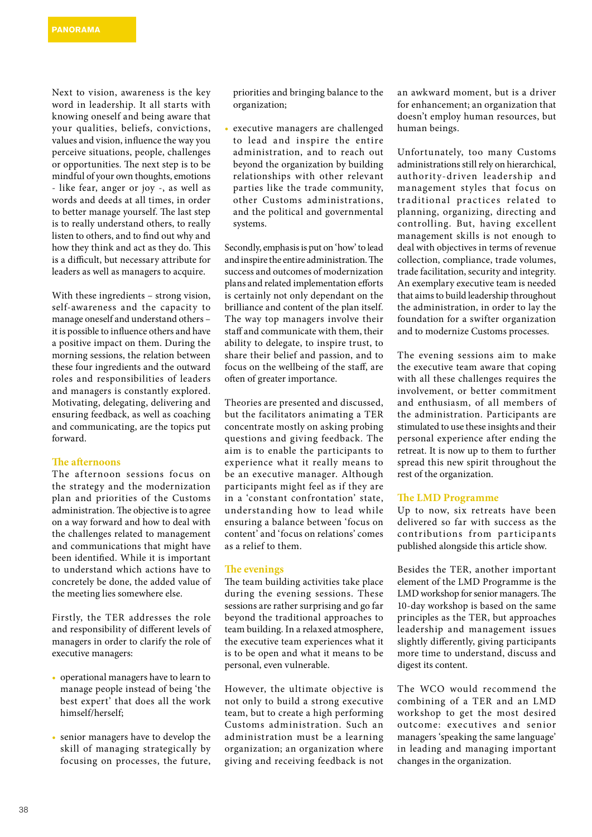Next to vision, awareness is the key word in leadership. It all starts with knowing oneself and being aware that your qualities, beliefs, convictions, values and vision, influence the way you perceive situations, people, challenges or opportunities. The next step is to be mindful of your own thoughts, emotions - like fear, anger or joy -, as well as words and deeds at all times, in order to better manage yourself. The last step is to really understand others, to really listen to others, and to find out why and how they think and act as they do. This is a difficult, but necessary attribute for leaders as well as managers to acquire.

With these ingredients – strong vision, self-awareness and the capacity to manage oneself and understand others – it is possible to influence others and have a positive impact on them. During the morning sessions, the relation between these four ingredients and the outward roles and responsibilities of leaders and managers is constantly explored. Motivating, delegating, delivering and ensuring feedback, as well as coaching and communicating, are the topics put forward.

## **The afternoons**

The afternoon sessions focus on the strategy and the modernization plan and priorities of the Customs administration. The objective is to agree on a way forward and how to deal with the challenges related to management and communications that might have been identified. While it is important to understand which actions have to concretely be done, the added value of the meeting lies somewhere else.

Firstly, the TER addresses the role and responsibility of different levels of managers in order to clarify the role of executive managers:

- operational managers have to learn to manage people instead of being 'the best expert' that does all the work himself/herself;
- senior managers have to develop the skill of managing strategically by focusing on processes, the future,

priorities and bringing balance to the organization;

• executive managers are challenged to lead and inspire the entire administration, and to reach out beyond the organization by building relationships with other relevant parties like the trade community, other Customs administrations, and the political and governmental systems.

Secondly, emphasis is put on 'how' to lead and inspire the entire administration. The success and outcomes of modernization plans and related implementation efforts is certainly not only dependant on the brilliance and content of the plan itself. The way top managers involve their staff and communicate with them, their ability to delegate, to inspire trust, to share their belief and passion, and to focus on the wellbeing of the staff, are often of greater importance.

Theories are presented and discussed, but the facilitators animating a TER concentrate mostly on asking probing questions and giving feedback. The aim is to enable the participants to experience what it really means to be an executive manager. Although participants might feel as if they are in a 'constant confrontation' state, understanding how to lead while ensuring a balance between 'focus on content' and 'focus on relations' comes as a relief to them.

### **The evenings**

The team building activities take place during the evening sessions. These sessions are rather surprising and go far beyond the traditional approaches to team building. In a relaxed atmosphere, the executive team experiences what it is to be open and what it means to be personal, even vulnerable.

However, the ultimate objective is not only to build a strong executive team, but to create a high performing Customs administration. Such an administration must be a learning organization; an organization where giving and receiving feedback is not

an awkward moment, but is a driver for enhancement; an organization that doesn't employ human resources, but human beings.

Unfortunately, too many Customs administrations still rely on hierarchical, authority-driven leadership and management styles that focus on traditional practices related to planning, organizing, directing and controlling. But, having excellent management skills is not enough to deal with objectives in terms of revenue collection, compliance, trade volumes, trade facilitation, security and integrity. An exemplary executive team is needed that aims to build leadership throughout the administration, in order to lay the foundation for a swifter organization and to modernize Customs processes.

The evening sessions aim to make the executive team aware that coping with all these challenges requires the involvement, or better commitment and enthusiasm, of all members of the administration. Participants are stimulated to use these insights and their personal experience after ending the retreat. It is now up to them to further spread this new spirit throughout the rest of the organization.

#### **The LMD Programme**

Up to now, six retreats have been delivered so far with success as the contributions from participants published alongside this article show.

Besides the TER, another important element of the LMD Programme is the LMD workshop for senior managers. The 10-day workshop is based on the same principles as the TER, but approaches leadership and management issues slightly differently, giving participants more time to understand, discuss and digest its content.

The WCO would recommend the combining of a TER and an LMD workshop to get the most desired outcome: executives a nd senior managers 'speaking the same language' in leading and managing important changes in the organization.